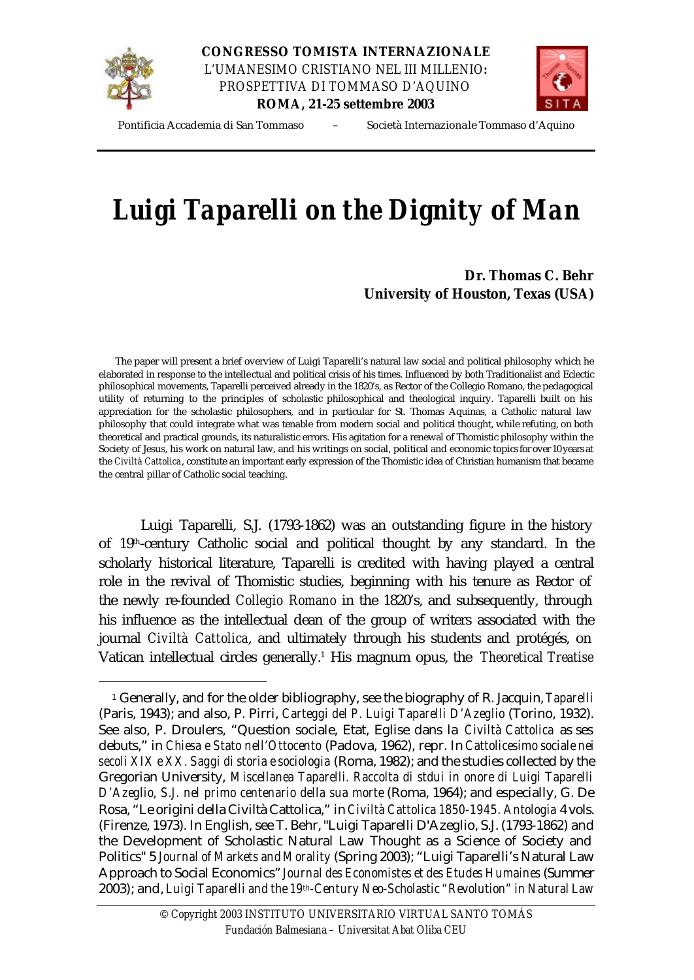

l

**CONGRESSO TOMISTA INTERNAZIONALE** *L'UMANESIMO CRISTIANO NEL III MILLENIO: PROSPETTIVA DI TOMMASO D'AQUINO* **ROMA, 21-25 settembre 2003**



Pontificia Accademia di San Tommaso – Società Internazionale Tommaso d'Aquino

## *Luigi Taparelli on the Dignity of Man*

## **Dr. Thomas C. Behr University of Houston, Texas (USA)**

 The paper will present a brief overview of Luigi Taparelli's natural law social and political philosophy which he elaborated in response to the intellectual and political crisis of his times. Influenced by both Traditionalist and Eclectic philosophical movements, Taparelli perceived already in the 1820's, as Rector of the Collegio Romano, the pedagogical utility of returning to the principles of scholastic philosophical and theological inquiry. Taparelli built on his appreciation for the scholastic philosophers, and in particular for St. Thomas Aquinas, a Catholic natural law philosophy that could integrate what was tenable from modern social and political thought, while refuting, on both theoretical and practical grounds, its naturalistic errors. His agitation for a renewal of Thomistic philosophy within the Society of Jesus, his work on natural law, and his writings on social, political and economic topics for over 10 years at the *Civiltà Cattolica*, constitute an important early expression of the Thomistic idea of Christian humanism that became the central pillar of Catholic social teaching.

Luigi Taparelli, S.J. (1793-1862) was an outstanding figure in the history of 19<sup>th</sup>-century Catholic social and political thought by any standard. In the scholarly historical literature, Taparelli is credited with having played a central role in the revival of Thomistic studies, beginning with his tenure as Rector of the newly re-founded *Collegio Romano* in the 1820's, and subsequently, through his influence as the intellectual dean of the group of writers associated with the journal *Civiltà Cattolica*, and ultimately through his students and protégés, on Vatican intellectual circles generally.<sup>1</sup> His magnum opus, the *Theoretical Treatise* 

<sup>1</sup> Generally, and for the older bibliography, see the biography of R. Jacquin, *Taparelli* (Paris, 1943); and also, P. Pirri, *Carteggi del P. Luigi Taparelli D'Azeglio* (Torino, 1932). See also, P. Droulers, "Question sociale, Etat, Eglise dans la *Civiltà Cattolica* as ses debuts," in *Chiesa e Stato nell'Ottocento* (Padova, 1962), repr. In *Cattolicesimo sociale nei secoli XIX e XX. Saggi di storia e sociologia* (Roma, 1982); and the studies collected by the Gregorian University, *Miscellanea Taparelli. Raccolta di stdui in onore di Luigi Taparelli D'Azeglio, S.J. nel primo centenario della sua morte* (Roma, 1964); and especially, G. De Rosa, "Le origini della Civiltà Cattolica," in *Civiltà Cattolica 1850-1945. Antologia* 4 vols. (Firenze, 1973). In English, see T. Behr, "Luigi Taparelli D'Azeglio, S.J. (1793-1862) and the Development of Scholastic Natural Law Thought as a Science of Society and Politics" 5 *Journal of Markets and Morality* (Spring 2003); "Luigi Taparelli's Natural Law Approach to Social Economics" *Journal des Economistes et des Etudes Humaines* (Summer 2003); and, *Luigi Taparelli and the 19th-Century Neo-Scholastic "Revolution" in Natural Law*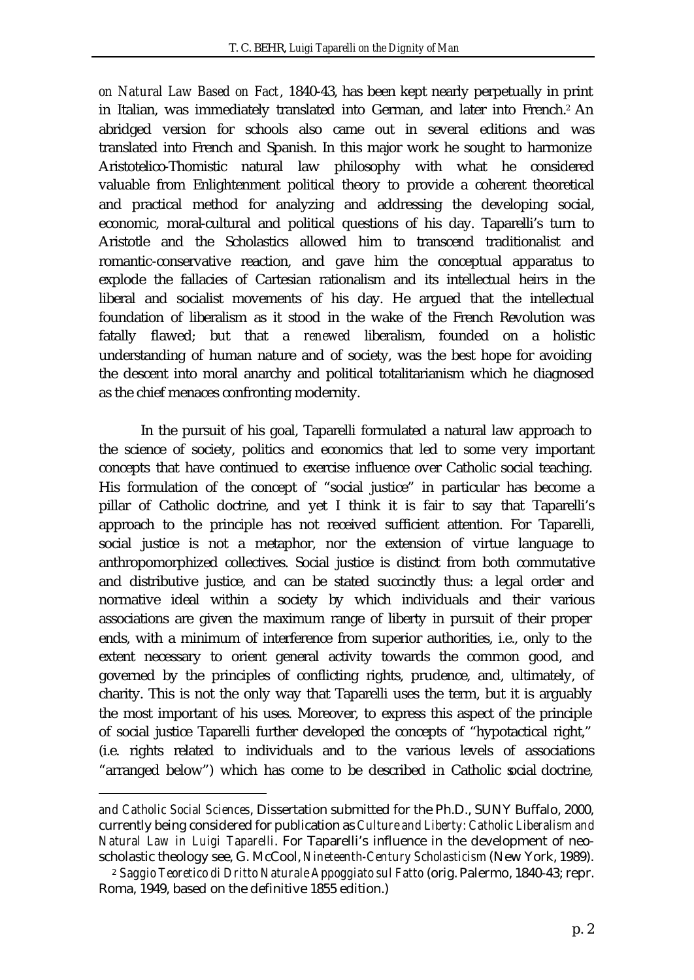*on Natural Law Based on Fact*, 1840-43, has been kept nearly perpetually in print in Italian, was immediately translated into German, and later into French.<sup>2</sup> An abridged version for schools also came out in several editions and was translated into French and Spanish. In this major work he sought to harmonize Aristotelico-Thomistic natural law philosophy with what he considered valuable from Enlightenment political theory to provide a coherent theoretical and practical method for analyzing and addressing the developing social, economic, moral-cultural and political questions of his day. Taparelli's turn to Aristotle and the Scholastics allowed him to transcend traditionalist and romantic-conservative reaction, and gave him the conceptual apparatus to explode the fallacies of Cartesian rationalism and its intellectual heirs in the liberal and socialist movements of his day. He argued that the intellectual foundation of liberalism as it stood in the wake of the French Revolution was fatally flawed; but that a *renewed* liberalism, founded on a holistic understanding of human nature and of society, was the best hope for avoiding the descent into moral anarchy and political totalitarianism which he diagnosed as the chief menaces confronting modernity.

In the pursuit of his goal, Taparelli formulated a natural law approach to the science of society, politics and economics that led to some very important concepts that have continued to exercise influence over Catholic social teaching. His formulation of the concept of "social justice" in particular has become a pillar of Catholic doctrine, and yet I think it is fair to say that Taparelli's approach to the principle has not received sufficient attention. For Taparelli, social justice is not a metaphor, nor the extension of virtue language to anthropomorphized collectives. Social justice is distinct from both commutative and distributive justice, and can be stated succinctly thus: a legal order and normative ideal within a society by which individuals and their various associations are given the maximum range of liberty in pursuit of their proper ends, with a minimum of interference from superior authorities, i.e., only to the extent necessary to orient general activity towards the common good, and governed by the principles of conflicting rights, prudence, and, ultimately, of charity. This is not the only way that Taparelli uses the term, but it is arguably the most important of his uses. Moreover, to express this aspect of the principle of social justice Taparelli further developed the concepts of "hypotactical right," (i.e. rights related to individuals and to the various levels of associations "arranged below") which has come to be described in Catholic social doctrine,

l

*and Catholic Social Sciences*, Dissertation submitted for the Ph.D., SUNY Buffalo, 2000, currently being considered for publication as *Culture and Liberty: Catholic Liberalism and Natural Law in Luigi Taparelli*. For Taparelli's influence in the development of neoscholastic theology see, G. McCool, *Nineteenth-Century Scholasticism* (New York, 1989).

<sup>2</sup> *Saggio Teoretico di Dritto Naturale Appoggiato sul Fatto* (orig. Palermo, 1840-43; repr. Roma, 1949, based on the definitive 1855 edition.)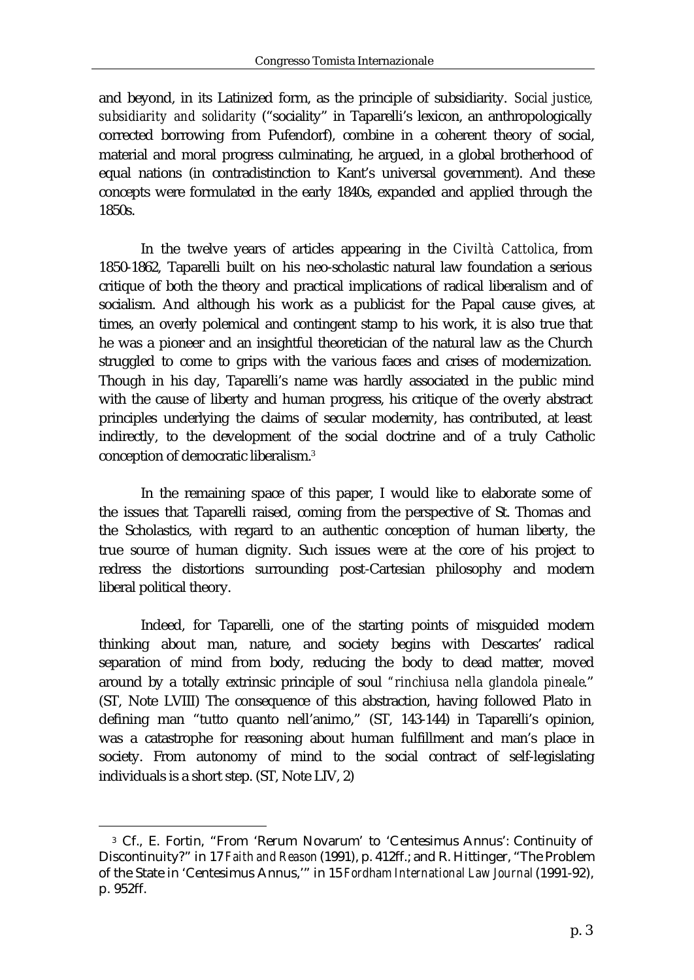and beyond, in its Latinized form, as the principle of subsidiarity. *Social justice, subsidiarity and solidarity* ("sociality" in Taparelli's lexicon, an anthropologically corrected borrowing from Pufendorf), combine in a coherent theory of social, material and moral progress culminating, he argued, in a global brotherhood of equal nations (in contradistinction to Kant's universal government). And these concepts were formulated in the early 1840s, expanded and applied through the 1850s.

In the twelve years of articles appearing in the *Civiltà Cattolica*, from 1850-1862, Taparelli built on his neo-scholastic natural law foundation a serious critique of both the theory and practical implications of radical liberalism and of socialism. And although his work as a publicist for the Papal cause gives, at times, an overly polemical and contingent stamp to his work, it is also true that he was a pioneer and an insightful theoretician of the natural law as the Church struggled to come to grips with the various faces and crises of modernization. Though in his day, Taparelli's name was hardly associated in the public mind with the cause of liberty and human progress, his critique of the overly abstract principles underlying the claims of secular modernity, has contributed, at least indirectly, to the development of the social doctrine and of a truly Catholic conception of democratic liberalism.<sup>3</sup>

In the remaining space of this paper, I would like to elaborate some of the issues that Taparelli raised, coming from the perspective of St. Thomas and the Scholastics, with regard to an authentic conception of human liberty, the true source of human dignity. Such issues were at the core of his project to redress the distortions surrounding post-Cartesian philosophy and modern liberal political theory.

Indeed, for Taparelli, one of the starting points of misguided modern thinking about man, nature, and society begins with Descartes' radical separation of mind from body, reducing the body to dead matter, moved around by a totally extrinsic principle of soul *"rinchiusa nella glandola pineale*." (ST, Note LVIII) The consequence of this abstraction, having followed Plato in defining man "tutto quanto nell'animo," (ST, 143-144) in Taparelli's opinion, was a catastrophe for reasoning about human fulfillment and man's place in society. From autonomy of mind to the social contract of self-legislating individuals is a short step. (ST, Note LIV, 2)

l

<sup>3</sup> Cf., E. Fortin, "From 'Rerum Novarum' to 'Centesimus Annus': Continuity of Discontinuity?" in 17 *Faith and Reason* (1991), p. 412ff.; and R. Hittinger, "The Problem of the State in 'Centesimus Annus,'" in 15 *Fordham International Law Journal* (1991-92), p. 952ff.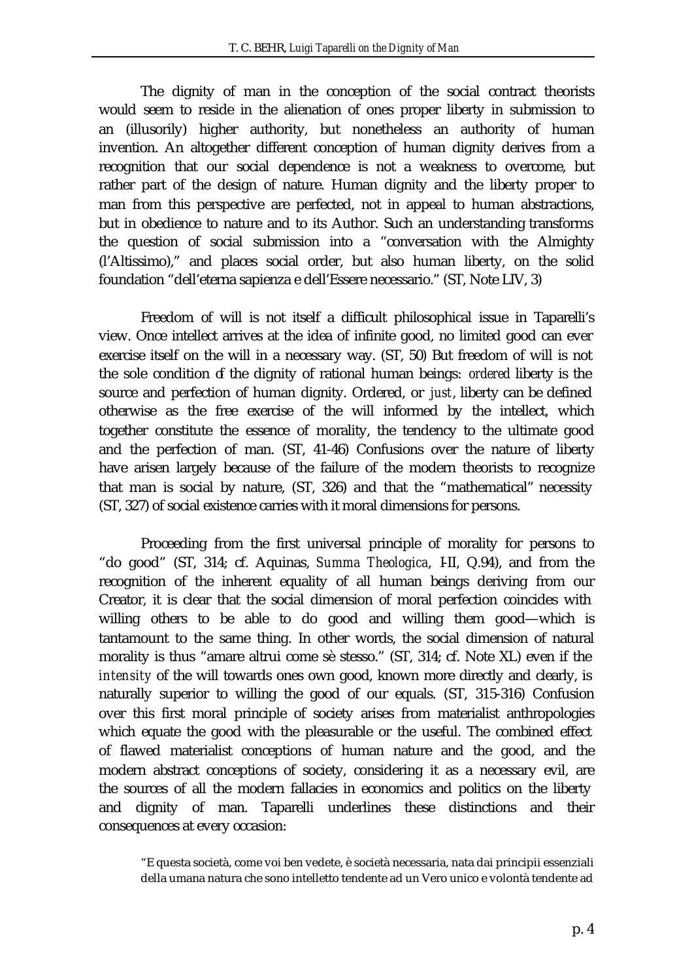The dignity of man in the conception of the social contract theorists would seem to reside in the alienation of ones proper liberty in submission to an (illusorily) higher authority, but nonetheless an authority of human invention. An altogether different conception of human dignity derives from a recognition that our social dependence is not a weakness to overcome, but rather part of the design of nature. Human dignity and the liberty proper to man from this perspective are perfected, not in appeal to human abstractions, but in obedience to nature and to its Author. Such an understanding transforms the question of social submission into a "conversation with the Almighty (l'Altissimo)," and places social order, but also human liberty, on the solid foundation "dell'eterna sapienza e dell'Essere necessario." (ST, Note LIV, 3)

Freedom of will is not itself a difficult philosophical issue in Taparelli's view. Once intellect arrives at the idea of infinite good, no limited good can ever exercise itself on the will in a necessary way. (ST, 50) But freedom of will is not the sole condition of the dignity of rational human beings: *ordered* liberty is the source and perfection of human dignity. Ordered, or *just*, liberty can be defined otherwise as the free exercise of the will informed by the intellect, which together constitute the essence of morality, the tendency to the ultimate good and the perfection of man. (ST, 41-46) Confusions over the nature of liberty have arisen largely because of the failure of the modern theorists to recognize that man is social by nature, (ST, 326) and that the "mathematical" necessity (ST, 327) of social existence carries with it moral dimensions for persons.

Proceeding from the first universal principle of morality for persons to "do good" (ST, 314; cf. Aquinas, *Summa Theologica*, I-II, Q.94), and from the recognition of the inherent equality of all human beings deriving from our Creator, it is clear that the social dimension of moral perfection coincides with willing others to be able to do good and willing them good—which is tantamount to the same thing. In other words, the social dimension of natural morality is thus "amare altrui come sè stesso." (ST, 314; cf. Note XL) even if the *intensity* of the will towards ones own good, known more directly and clearly, is naturally superior to willing the good of our equals. (ST, 315-316) Confusion over this first moral principle of society arises from materialist anthropologies which equate the good with the pleasurable or the useful. The combined effect of flawed materialist conceptions of human nature and the good, and the modern abstract conceptions of society, considering it as a necessary evil, are the sources of all the modern fallacies in economics and politics on the liberty and dignity of man. Taparelli underlines these distinctions and their consequences at every occasion:

<sup>&</sup>quot;E questa società, come voi ben vedete, è società necessaria, nata dai principii essenziali della umana natura che sono intelletto tendente ad un Vero unico e volontà tendente ad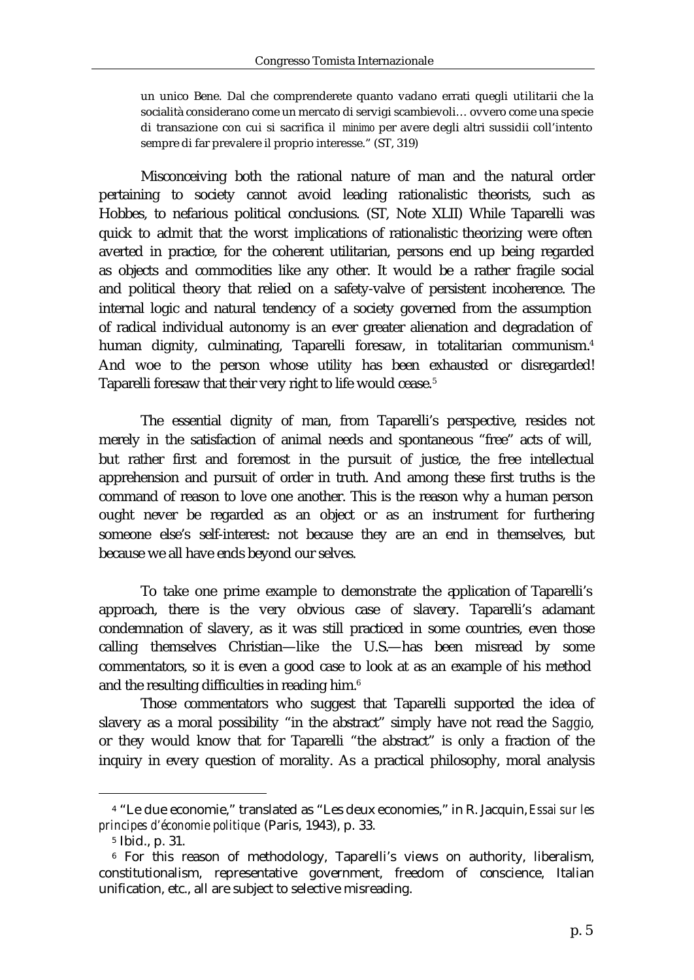un unico Bene. Dal che comprenderete quanto vadano errati quegli utilitarii che la socialità considerano come un mercato di servigi scambievoli… ovvero come una specie di transazione con cui si sacrifica il *minimo* per avere degli altri sussidii coll'intento sempre di far prevalere il proprio interesse." (ST, 319)

Misconceiving both the rational nature of man and the natural order pertaining to society cannot avoid leading rationalistic theorists, such as Hobbes, to nefarious political conclusions. (ST, Note XLII) While Taparelli was quick to admit that the worst implications of rationalistic theorizing were often averted in practice, for the coherent utilitarian, persons end up being regarded as objects and commodities like any other. It would be a rather fragile social and political theory that relied on a safety-valve of persistent incoherence. The internal logic and natural tendency of a society governed from the assumption of radical individual autonomy is an ever greater alienation and degradation of human dignity, culminating, Taparelli foresaw, in totalitarian communism.<sup>4</sup> And woe to the person whose utility has been exhausted or disregarded! Taparelli foresaw that their very right to life would cease.<sup>5</sup>

The essential dignity of man, from Taparelli's perspective, resides not merely in the satisfaction of animal needs and spontaneous "free" acts of will, but rather first and foremost in the pursuit of justice, the free intellectual apprehension and pursuit of order in truth. And among these first truths is the command of reason to love one another. This is the reason why a human person ought never be regarded as an object or as an instrument for furthering someone else's self-interest: not because they are an end in themselves, but because we all have ends beyond our selves.

To take one prime example to demonstrate the application of Taparelli's approach, there is the very obvious case of slavery. Taparelli's adamant condemnation of slavery, as it was still practiced in some countries, even those calling themselves Christian—like the U.S.—has been misread by some commentators, so it is even a good case to look at as an example of his method and the resulting difficulties in reading him.<sup>6</sup>

Those commentators who suggest that Taparelli supported the idea of slavery as a moral possibility "in the abstract" simply have not read the *Saggio*, or they would know that for Taparelli "the abstract" is only a fraction of the inquiry in every question of morality. As a practical philosophy, moral analysis

l

<sup>4</sup> "Le due economie," translated as "Les deux economies," in R. Jacquin, *Essai sur les principes d'économie politique* (Paris, 1943), p. 33.

<sup>5</sup> Ibid., p. 31.

<sup>6</sup> For this reason of methodology, Taparelli's views on authority, liberalism, constitutionalism, representative government, freedom of conscience, Italian unification, etc., all are subject to selective misreading.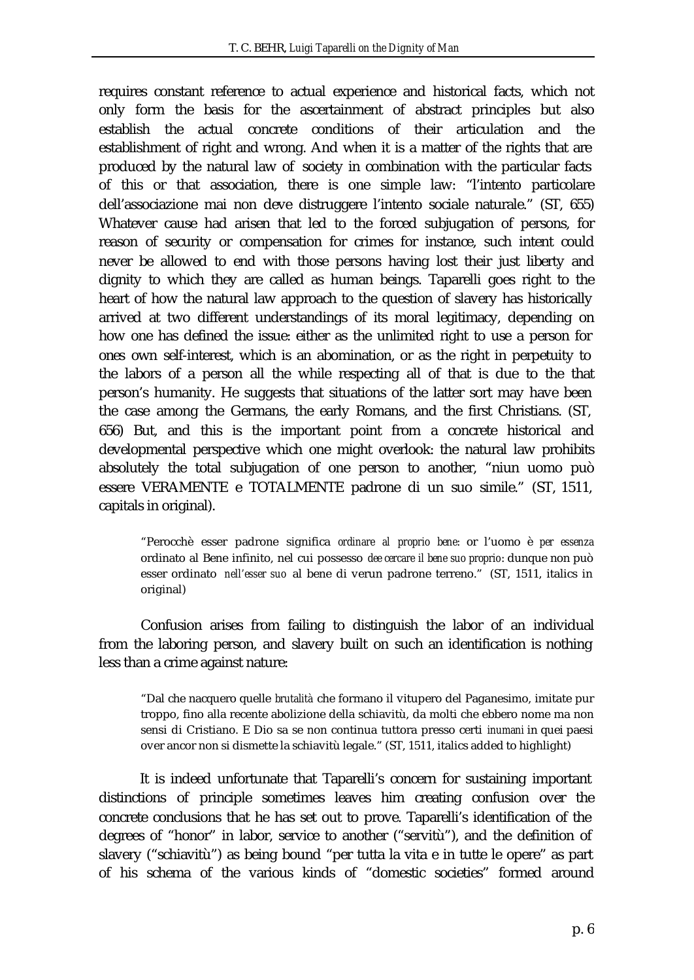requires constant reference to actual experience and historical facts, which not only form the basis for the ascertainment of abstract principles but also establish the actual concrete conditions of their articulation and the establishment of right and wrong. And when it is a matter of the rights that are produced by the natural law of society in combination with the particular facts of this or that association, there is one simple law: "l'intento particolare dell'associazione mai non deve distruggere l'intento sociale naturale." (ST, 655) Whatever cause had arisen that led to the forced subjugation of persons, for reason of security or compensation for crimes for instance, such intent could never be allowed to end with those persons having lost their just liberty and dignity to which they are called as human beings. Taparelli goes right to the heart of how the natural law approach to the question of slavery has historically arrived at two different understandings of its moral legitimacy, depending on how one has defined the issue: either as the unlimited right to use a person for ones own self-interest, which is an abomination, or as the right in perpetuity to the labors of a person all the while respecting all of that is due to the that person's humanity. He suggests that situations of the latter sort may have been the case among the Germans, the early Romans, and the first Christians. (ST, 656) But, and this is the important point from a concrete historical and developmental perspective which one might overlook: the natural law prohibits absolutely the total subjugation of one person to another, "niun uomo può essere VERAMENTE e TOTALMENTE padrone di un suo simile." (ST, 1511, capitals in original).

"Perocchè esser padrone significa *ordinare al proprio bene*: or l'uomo è *per essenza* ordinato al Bene infinito, nel cui possesso *dee cercare il bene suo proprio*: dunque non può esser ordinato *nell'esser suo* al bene di verun padrone terreno." (ST, 1511, italics in original)

Confusion arises from failing to distinguish the labor of an individual from the laboring person, and slavery built on such an identification is nothing less than a crime against nature:

"Dal che nacquero quelle *brutalità* che formano il vitupero del Paganesimo, imitate pur troppo, fino alla recente abolizione della schiavitù, da molti che ebbero nome ma non sensi di Cristiano. E Dio sa se non continua tuttora presso certi *inumani* in quei paesi over ancor non si dismette la schiavitù legale." (ST, 1511, italics added to highlight)

It is indeed unfortunate that Taparelli's concern for sustaining important distinctions of principle sometimes leaves him creating confusion over the concrete conclusions that he has set out to prove. Taparelli's identification of the degrees of "honor" in labor, service to another ("servitù"), and the definition of slavery ("schiavitù") as being bound "per tutta la vita e in tutte le opere" as part of his schema of the various kinds of "domestic societies" formed around